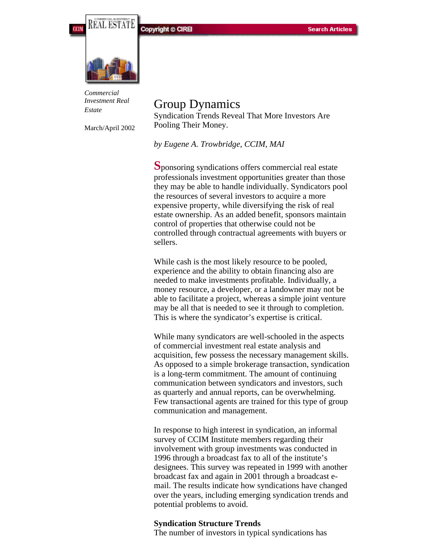**Copyright © CIREI** 



*Commercial Investment Real Estate*

March/April 2002

# Group Dynamics Syndication Trends Reveal That More Investors Are Pooling Their Money.

*by Eugene A. Trowbridge, CCIM, MAI*

**S**ponsoring syndications offers commercial real estate professionals investment opportunities greater than those they may be able to handle individually. Syndicators pool the resources of several investors to acquire a more expensive property, while diversifying the risk of real estate ownership. As an added benefit, sponsors maintain control of properties that otherwise could not be controlled through contractual agreements with buyers or sellers.

While cash is the most likely resource to be pooled, experience and the ability to obtain financing also are needed to make investments profitable. Individually, a money resource, a developer, or a landowner may not be able to facilitate a project, whereas a simple joint venture may be all that is needed to see it through to completion. This is where the syndicator's expertise is critical.

While many syndicators are well-schooled in the aspects of commercial investment real estate analysis and acquisition, few possess the necessary management skills. As opposed to a simple brokerage transaction, syndication is a long-term commitment. The amount of continuing communication between syndicators and investors, such as quarterly and annual reports, can be overwhelming. Few transactional agents are trained for this type of group communication and management.

In response to high interest in syndication, an informal survey of CCIM Institute members regarding their involvement with group investments was conducted in 1996 through a broadcast fax to all of the institute's designees. This survey was repeated in 1999 with another broadcast fax and again in 2001 through a broadcast email. The results indicate how syndications have changed over the years, including emerging syndication trends and potential problems to avoid.

#### **Syndication Structure Trends**

The number of investors in typical syndications has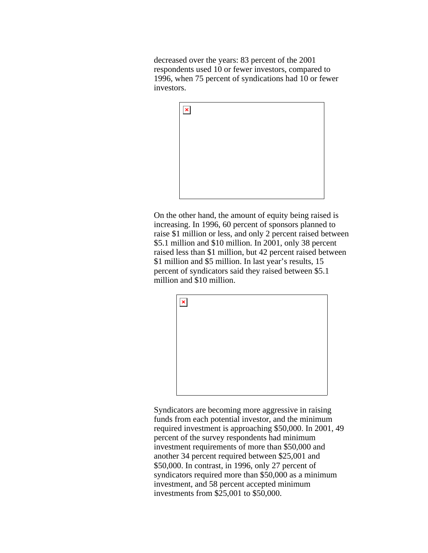decreased over the years: 83 percent of the 2001 respondents used 10 or fewer investors, compared to 1996, when 75 percent of syndications had 10 or fewer investors.



On the other hand, the amount of equity being raised is increasing. In 1996, 60 percent of sponsors planned to raise \$1 million or less, and only 2 percent raised between \$5.1 million and \$10 million. In 2001, only 38 percent raised less than \$1 million, but 42 percent raised between \$1 million and \$5 million. In last year's results, 15 percent of syndicators said they raised between \$5.1 million and \$10 million.



Syndicators are becoming more aggressive in raising funds from each potential investor, and the minimum required investment is approaching \$50,000. In 2001, 49 percent of the survey respondents had minimum investment requirements of more than \$50,000 and another 34 percent required between \$25,001 and \$50,000. In contrast, in 1996, only 27 percent of syndicators required more than \$50,000 as a minimum investment, and 58 percent accepted minimum investments from \$25,001 to \$50,000.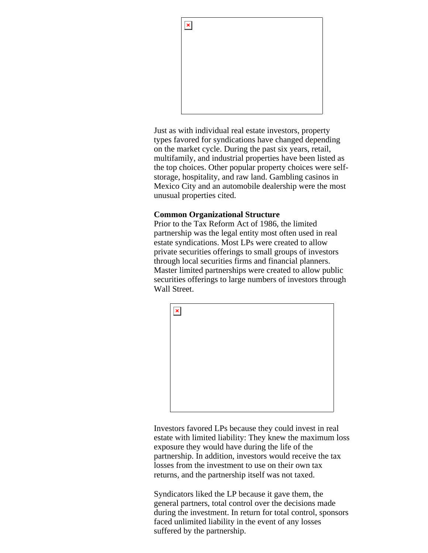

Just as with individual real estate investors, property types favored for syndications have changed depending on the market cycle. During the past six years, retail, multifamily, and industrial properties have been listed as the top choices. Other popular property choices were selfstorage, hospitality, and raw land. Gambling casinos in Mexico City and an automobile dealership were the most unusual properties cited.

# **Common Organizational Structure**

Prior to the Tax Reform Act of 1986, the limited partnership was the legal entity most often used in real estate syndications. Most LPs were created to allow private securities offerings to small groups of investors through local securities firms and financial planners. Master limited partnerships were created to allow public securities offerings to large numbers of investors through Wall Street.



Investors favored LPs because they could invest in real estate with limited liability: They knew the maximum loss exposure they would have during the life of the partnership. In addition, investors would receive the tax losses from the investment to use on their own tax returns, and the partnership itself was not taxed.

Syndicators liked the LP because it gave them, the general partners, total control over the decisions made during the investment. In return for total control, sponsors faced unlimited liability in the event of any losses suffered by the partnership.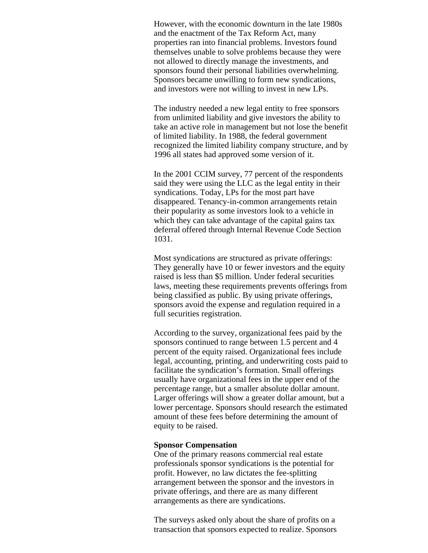However, with the economic downturn in the late 1980s and the enactment of the Tax Reform Act, many properties ran into financial problems. Investors found themselves unable to solve problems because they were not allowed to directly manage the investments, and sponsors found their personal liabilities overwhelming. Sponsors became unwilling to form new syndications, and investors were not willing to invest in new LPs.

The industry needed a new legal entity to free sponsors from unlimited liability and give investors the ability to take an active role in management but not lose the benefit of limited liability. In 1988, the federal government recognized the limited liability company structure, and by 1996 all states had approved some version of it.

In the 2001 CCIM survey, 77 percent of the respondents said they were using the LLC as the legal entity in their syndications. Today, LPs for the most part have disappeared. Tenancy-in-common arrangements retain their popularity as some investors look to a vehicle in which they can take advantage of the capital gains tax deferral offered through Internal Revenue Code Section 1031.

Most syndications are structured as private offerings: They generally have 10 or fewer investors and the equity raised is less than \$5 million. Under federal securities laws, meeting these requirements prevents offerings from being classified as public. By using private offerings, sponsors avoid the expense and regulation required in a full securities registration.

According to the survey, organizational fees paid by the sponsors continued to range between 1.5 percent and 4 percent of the equity raised. Organizational fees include legal, accounting, printing, and underwriting costs paid to facilitate the syndication's formation. Small offerings usually have organizational fees in the upper end of the percentage range, but a smaller absolute dollar amount. Larger offerings will show a greater dollar amount, but a lower percentage. Sponsors should research the estimated amount of these fees before determining the amount of equity to be raised.

### **Sponsor Compensation**

One of the primary reasons commercial real estate professionals sponsor syndications is the potential for profit. However, no law dictates the fee-splitting arrangement between the sponsor and the investors in private offerings, and there are as many different arrangements as there are syndications.

The surveys asked only about the share of profits on a transaction that sponsors expected to realize. Sponsors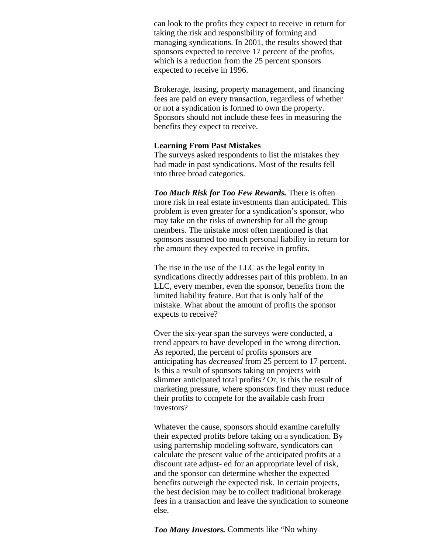can look to the profits they expect to receive in return for taking the risk and responsibility of forming and managing syndications. In 2001, the results showed that sponsors expected to receive 17 percent of the profits, which is a reduction from the 25 percent sponsors expected to receive in 1996.

Brokerage, leasing, property management, and financing fees are paid on every transaction, regardless of whether or not a syndication is formed to own the property. Sponsors should not include these fees in measuring the benefits they expect to receive.

#### **Learning From Past Mistakes**

The surveys asked respondents to list the mistakes they had made in past syndications. Most of the results fell into three broad categories.

*Too Much Risk for Too Few Rewards.* There is often more risk in real estate investments than anticipated. This problem is even greater for a syndication's sponsor, who may take on the risks of ownership for all the group members. The mistake most often mentioned is that sponsors assumed too much personal liability in return for the amount they expected to receive in profits.

The rise in the use of the LLC as the legal entity in syndications directly addresses part of this problem. In an LLC, every member, even the sponsor, benefits from the limited liability feature. But that is only half of the mistake. What about the amount of profits the sponsor expects to receive?

Over the six-year span the surveys were conducted, a trend appears to have developed in the wrong direction. As reported, the percent of profits sponsors are anticipating has *decreased* from 25 percent to 17 percent. Is this a result of sponsors taking on projects with slimmer anticipated total profits? Or, is this the result of marketing pressure, where sponsors find they must reduce their profits to compete for the available cash from investors?

Whatever the cause, sponsors should examine carefully their expected profits before taking on a syndication. By using parternship modeling software, syndicators can calculate the present value of the anticipated profits at a discount rate adjust- ed for an appropriate level of risk, and the sponsor can determine whether the expected benefits outweigh the expected risk. In certain projects, the best decision may be to collect traditional brokerage fees in a transaction and leave the syndication to someone else.

*Too Many Investors.* Comments like "No whiny